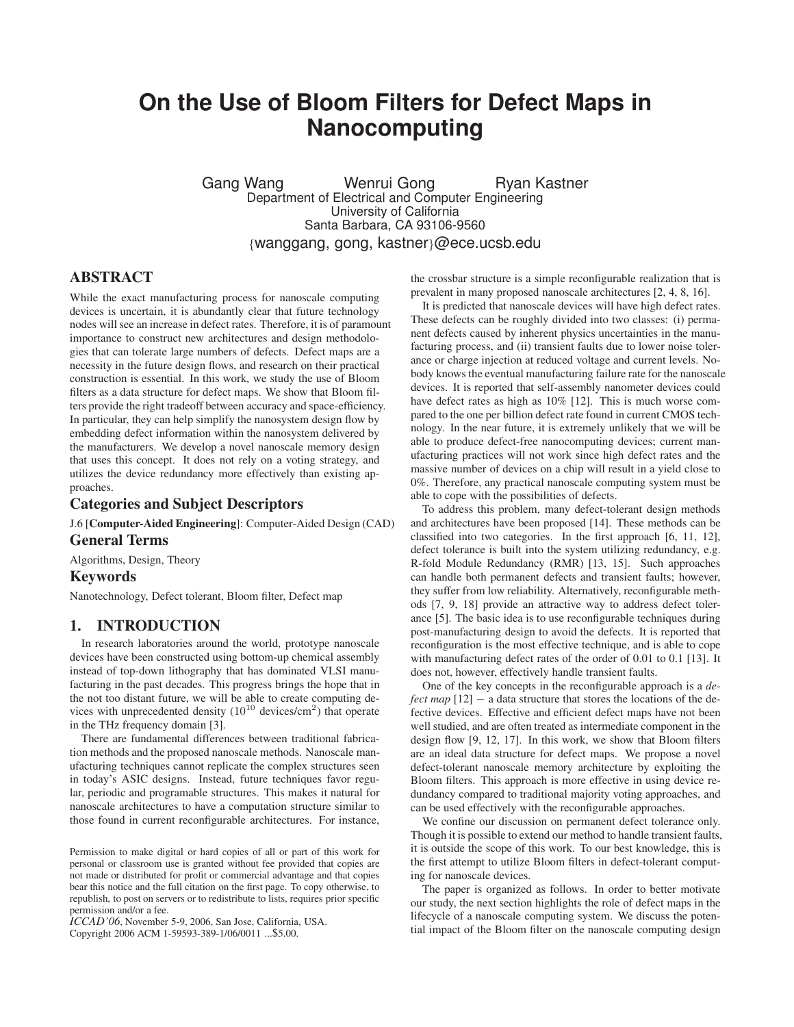# **ON THE USE OF BROOM THE USE OF BUSICIAL STATES Nanocomputing**

Gang Wang **Wenrui Gong** Ryan Kastner Department of Electrical and Computer Engineering University of California Santa Barbara, CA 93106-9560 {wanggang, gong, kastner}@ece.ucsb.edu

## ABSTRACT

While the exact manufacturing process for nanoscale computing devices is uncertain, it is abundantly clear that future technology nodes will see an increase in defect rates. Therefore, it is of paramount importance to construct new architectures and design methodologies that can tolerate large numbers of defects. Defect maps are a necessity in the future design flows, and research on their practical construction is essential. In this work, we study the use of Bloom filters as a data structure for defect maps. We show that Bloom filters provide the right tradeoff between accuracy and space-efficiency. In particular, they can help simplify the nanosystem design flow by embedding defect information within the nanosystem delivered by the manufacturers. We develop a novel nanoscale memory design that uses this concept. It does not rely on a voting strategy, and utilizes the device redundancy more effectively than existing approaches.

#### Categories and Subject Descriptors

J.6 [Computer-Aided Engineering]: Computer-Aided Design (CAD) General Terms

Algorithms, Design, Theory

#### Keywords

Nanotechnology, Defect tolerant, Bloom filter, Defect map

#### 1. INTRODUCTION

In research laboratories around the world, prototype nanoscale devices have been constructed using bottom-up chemical assembly instead of top-down lithography that has dominated VLSI manufacturing in the past decades. This progress brings the hope that in the not too distant future, we will be able to create computing devices with unprecedented density  $(10^{10} \text{ devices/cm}^2)$  that operate in the THz frequency domain [3].

There are fundamental differences between traditional fabrication methods and the proposed nanoscale methods. Nanoscale manufacturing techniques cannot replicate the complex structures seen in today's ASIC designs. Instead, future techniques favor regular, periodic and programable structures. This makes it natural for nanoscale architectures to have a computation structure similar to those found in current reconfigurable architectures. For instance,

*ICCAD'06*, November 5-9, 2006, San Jose, California, USA.

Copyright 2006 ACM 1-59593-389-1/06/0011 ...\$5.00.

the crossbar structure is a simple reconfigurable realization that is prevalent in many proposed nanoscale architectures [2, 4, 8, 16].

It is predicted that nanoscale devices will have high defect rates. These defects can be roughly divided into two classes: (i) permanent defects caused by inherent physics uncertainties in the manufacturing process, and (ii) transient faults due to lower noise tolerance or charge injection at reduced voltage and current levels. Nobody knows the eventual manufacturing failure rate for the nanoscale devices. It is reported that self-assembly nanometer devices could have defect rates as high as  $10\%$  [12]. This is much worse compared to the one per billion defect rate found in current CMOS technology. In the near future, it is extremely unlikely that we will be able to produce defect-free nanocomputing devices; current manufacturing practices will not work since high defect rates and the massive number of devices on a chip will result in a yield close to 0%. Therefore, any practical nanoscale computing system must be able to cope with the possibilities of defects.

To address this problem, many defect-tolerant design methods and architectures have been proposed [14]. These methods can be classified into two categories. In the first approach [6, 11, 12], defect tolerance is built into the system utilizing redundancy, e.g. R-fold Module Redundancy (RMR) [13, 15]. Such approaches can handle both permanent defects and transient faults; however, they suffer from low reliability. Alternatively, reconfigurable methods [7, 9, 18] provide an attractive way to address defect tolerance [5]. The basic idea is to use reconfigurable techniques during post-manufacturing design to avoid the defects. It is reported that reconfiguration is the most effective technique, and is able to cope with manufacturing defect rates of the order of 0.01 to 0.1 [13]. It does not, however, effectively handle transient faults.

One of the key concepts in the reconfigurable approach is a *defect map* [12]  $-$  a data structure that stores the locations of the defective devices. Effective and efficient defect maps have not been well studied, and are often treated as intermediate component in the design flow [9, 12, 17]. In this work, we show that Bloom filters are an ideal data structure for defect maps. We propose a novel defect-tolerant nanoscale memory architecture by exploiting the Bloom filters. This approach is more effective in using device redundancy compared to traditional majority voting approaches, and can be used effectively with the reconfigurable approaches.

We confine our discussion on permanent defect tolerance only. Though it is possible to extend our method to handle transient faults, it is outside the scope of this work. To our best knowledge, this is the first attempt to utilize Bloom filters in defect-tolerant computing for nanoscale devices.

The paper is organized as follows. In order to better motivate our study, the next section highlights the role of defect maps in the lifecycle of a nanoscale computing system. We discuss the potential impact of the Bloom filter on the nanoscale computing design

Permission to make digital or hard copies of all or part of this work for personal or classroom use is granted without fee provided that copies are not made or distributed for profit or commercial advantage and that copies bear this notice and the full citation on the first page. To copy otherwise, to republish, to post on servers or to redistribute to lists, requires prior specific permission and/or a fee.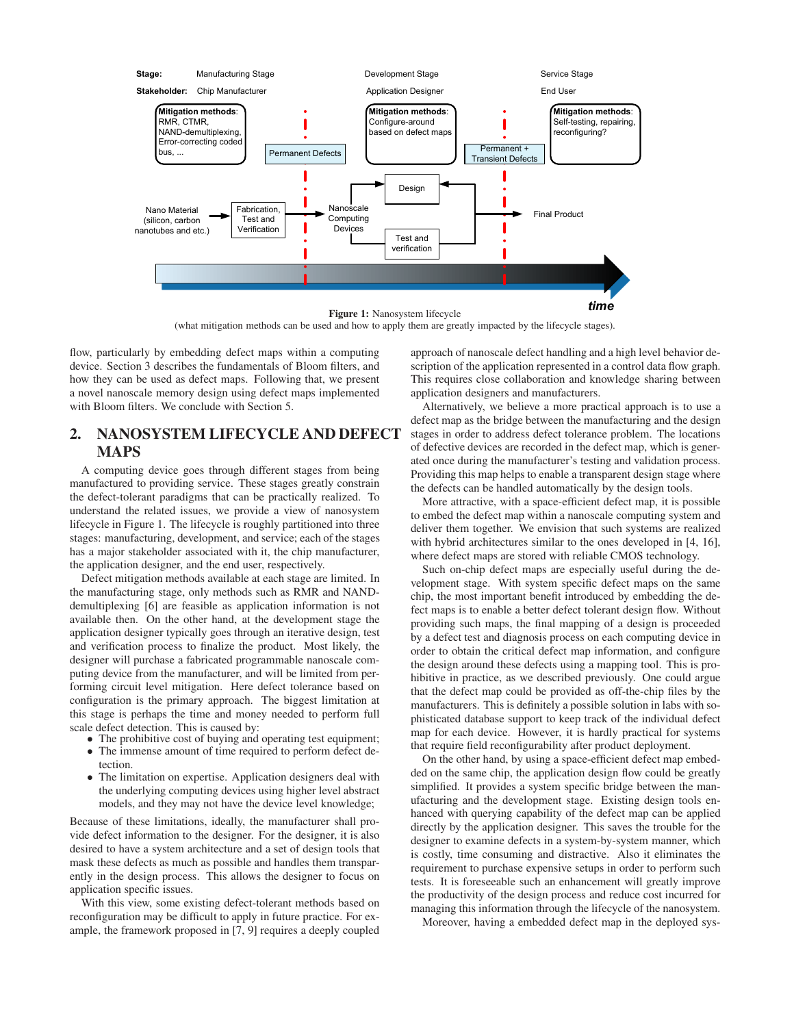

Figure 1: Nanosystem lifecycle (what mitigation methods can be used and how to apply them are greatly impacted by the lifecycle stages).

flow, particularly by embedding defect maps within a computing device. Section 3 describes the fundamentals of Bloom filters, and how they can be used as defect maps. Following that, we present a novel nanoscale memory design using defect maps implemented with Bloom filters. We conclude with Section 5.

## 2. NANOSYSTEM LIFECYCLE AND DEFECT MAPS

A computing device goes through different stages from being manufactured to providing service. These stages greatly constrain the defect-tolerant paradigms that can be practically realized. To understand the related issues, we provide a view of nanosystem lifecycle in Figure 1. The lifecycle is roughly partitioned into three stages: manufacturing, development, and service; each of the stages has a major stakeholder associated with it, the chip manufacturer, the application designer, and the end user, respectively.

Defect mitigation methods available at each stage are limited. In the manufacturing stage, only methods such as RMR and NANDdemultiplexing [6] are feasible as application information is not available then. On the other hand, at the development stage the application designer typically goes through an iterative design, test and verification process to finalize the product. Most likely, the designer will purchase a fabricated programmable nanoscale computing device from the manufacturer, and will be limited from performing circuit level mitigation. Here defect tolerance based on configuration is the primary approach. The biggest limitation at this stage is perhaps the time and money needed to perform full scale defect detection. This is caused by:

- The prohibitive cost of buying and operating test equipment;
- The immense amount of time required to perform defect detection.
- The limitation on expertise. Application designers deal with the underlying computing devices using higher level abstract models, and they may not have the device level knowledge;

Because of these limitations, ideally, the manufacturer shall provide defect information to the designer. For the designer, it is also desired to have a system architecture and a set of design tools that mask these defects as much as possible and handles them transparently in the design process. This allows the designer to focus on application specific issues.

With this view, some existing defect-tolerant methods based on reconfiguration may be difficult to apply in future practice. For example, the framework proposed in [7, 9] requires a deeply coupled approach of nanoscale defect handling and a high level behavior description of the application represented in a control data flow graph. This requires close collaboration and knowledge sharing between application designers and manufacturers.

Alternatively, we believe a more practical approach is to use a defect map as the bridge between the manufacturing and the design stages in order to address defect tolerance problem. The locations of defective devices are recorded in the defect map, which is generated once during the manufacturer's testing and validation process. Providing this map helps to enable a transparent design stage where the defects can be handled automatically by the design tools.

More attractive, with a space-efficient defect map, it is possible to embed the defect map within a nanoscale computing system and deliver them together. We envision that such systems are realized with hybrid architectures similar to the ones developed in [4, 16], where defect maps are stored with reliable CMOS technology.

Such on-chip defect maps are especially useful during the development stage. With system specific defect maps on the same chip, the most important benefit introduced by embedding the defect maps is to enable a better defect tolerant design flow. Without providing such maps, the final mapping of a design is proceeded by a defect test and diagnosis process on each computing device in order to obtain the critical defect map information, and configure the design around these defects using a mapping tool. This is prohibitive in practice, as we described previously. One could argue that the defect map could be provided as off-the-chip files by the manufacturers. This is definitely a possible solution in labs with sophisticated database support to keep track of the individual defect map for each device. However, it is hardly practical for systems that require field reconfigurability after product deployment.

On the other hand, by using a space-efficient defect map embedded on the same chip, the application design flow could be greatly simplified. It provides a system specific bridge between the manufacturing and the development stage. Existing design tools enhanced with querying capability of the defect map can be applied directly by the application designer. This saves the trouble for the designer to examine defects in a system-by-system manner, which is costly, time consuming and distractive. Also it eliminates the requirement to purchase expensive setups in order to perform such tests. It is foreseeable such an enhancement will greatly improve the productivity of the design process and reduce cost incurred for managing this information through the lifecycle of the nanosystem.

Moreover, having a embedded defect map in the deployed sys-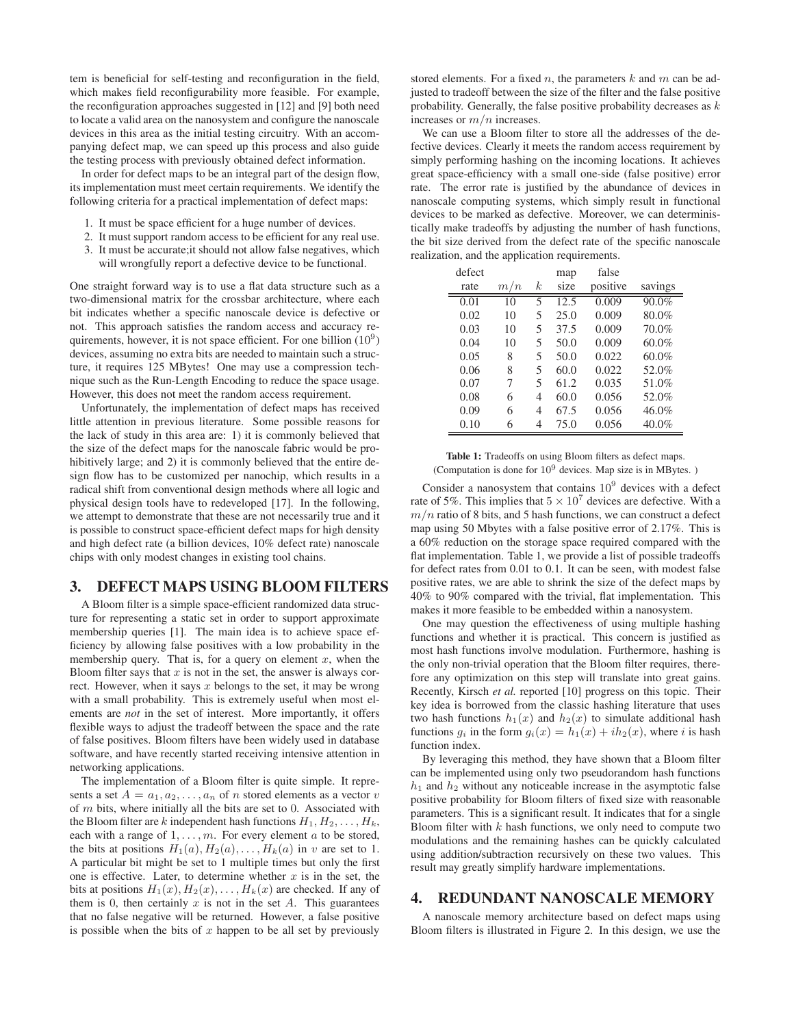tem is beneficial for self-testing and reconfiguration in the field, which makes field reconfigurability more feasible. For example, the reconfiguration approaches suggested in [12] and [9] both need to locate a valid area on the nanosystem and configure the nanoscale devices in this area as the initial testing circuitry. With an accompanying defect map, we can speed up this process and also guide the testing process with previously obtained defect information.

In order for defect maps to be an integral part of the design flow, its implementation must meet certain requirements. We identify the following criteria for a practical implementation of defect maps:

- 1. It must be space efficient for a huge number of devices.
- 2. It must support random access to be efficient for any real use.
- 3. It must be accurate;it should not allow false negatives, which will wrongfully report a defective device to be functional.

One straight forward way is to use a flat data structure such as a two-dimensional matrix for the crossbar architecture, where each bit indicates whether a specific nanoscale device is defective or not. This approach satisfies the random access and accuracy requirements, however, it is not space efficient. For one billion  $(10^9)$ devices, assuming no extra bits are needed to maintain such a structure, it requires 125 MBytes! One may use a compression technique such as the Run-Length Encoding to reduce the space usage. However, this does not meet the random access requirement.

Unfortunately, the implementation of defect maps has received little attention in previous literature. Some possible reasons for the lack of study in this area are: 1) it is commonly believed that the size of the defect maps for the nanoscale fabric would be prohibitively large; and 2) it is commonly believed that the entire design flow has to be customized per nanochip, which results in a radical shift from conventional design methods where all logic and physical design tools have to redeveloped [17]. In the following, we attempt to demonstrate that these are not necessarily true and it is possible to construct space-efficient defect maps for high density and high defect rate (a billion devices, 10% defect rate) nanoscale chips with only modest changes in existing tool chains.

## 3. DEFECT MAPS USING BLOOM FILTERS

A Bloom filter is a simple space-efficient randomized data structure for representing a static set in order to support approximate membership queries [1]. The main idea is to achieve space efficiency by allowing false positives with a low probability in the membership query. That is, for a query on element *x*, when the Bloom filter says that  $x$  is not in the set, the answer is always correct. However, when it says *x* belongs to the set, it may be wrong with a small probability. This is extremely useful when most elements are *not* in the set of interest. More importantly, it offers flexible ways to adjust the tradeoff between the space and the rate of false positives. Bloom filters have been widely used in database software, and have recently started receiving intensive attention in networking applications.

The implementation of a Bloom filter is quite simple. It represents a set  $A = a_1, a_2, \ldots, a_n$  of *n* stored elements as a vector *v* of *m* bits, where initially all the bits are set to <sup>0</sup>. Associated with the Bloom filter are *k* independent hash functions  $H_1, H_2, \ldots, H_k$ , each with a range of  $1, \ldots, m$ . For every element  $a$  to be stored, the bits at positions  $H_1(a), H_2(a), \ldots, H_k(a)$  in *v* are set to 1. A particular bit might be set to 1 multiple times but only the first one is effective. Later, to determine whether  $x$  is in the set, the bits at positions  $H_1(x)$ ,  $H_2(x)$ , ...,  $H_k(x)$  are checked. If any of them is 0, then certainly  $x$  is not in the set  $A$ . This guarantees that no false negative will be returned. However, a false positive is possible when the bits of *x* happen to be all set by previously

stored elements. For a fixed *n*, the parameters *k* and *m* can be adjusted to tradeoff between the size of the filter and the false positive probability. Generally, the false positive probability decreases as *k* increases or *m/n* increases.

We can use a Bloom filter to store all the addresses of the defective devices. Clearly it meets the random access requirement by simply performing hashing on the incoming locations. It achieves great space-efficiency with a small one-side (false positive) error rate. The error rate is justified by the abundance of devices in nanoscale computing systems, which simply result in functional devices to be marked as defective. Moreover, we can deterministically make tradeoffs by adjusting the number of hash functions, the bit size derived from the defect rate of the specific nanoscale realization, and the application requirements.

| defect |     |   | map  | false    |          |
|--------|-----|---|------|----------|----------|
| rate   | m/n | k | size | positive | savings  |
| 0.01   | 10  | 5 | 12.5 | 0.009    | 90.0%    |
| 0.02   | 10  | 5 | 25.0 | 0.009    | 80.0%    |
| 0.03   | 10  | 5 | 37.5 | 0.009    | 70.0%    |
| 0.04   | 10  | 5 | 50.0 | 0.009    | $60.0\%$ |
| 0.05   | 8   | 5 | 50.0 | 0.022    | $60.0\%$ |
| 0.06   | 8   | 5 | 60.0 | 0.022    | 52.0%    |
| 0.07   | 7   | 5 | 61.2 | 0.035    | 51.0%    |
| 0.08   | 6   | 4 | 60.0 | 0.056    | 52.0%    |
| 0.09   | 6   | 4 | 67.5 | 0.056    | 46.0%    |
| 0.10   | 6   | 4 | 75.0 | 0.056    | 40.0%    |

Table 1: Tradeoffs on using Bloom filters as defect maps. (Computation is done for  $10^9$  devices. Map size is in MBytes.)

Consider a nanosystem that contains  $10<sup>9</sup>$  devices with a defect rate of 5%. This implies that  $5 \times 10^7$  devices are defective. With a *m/n* ratio of 8 bits, and 5 hash functions, we can construct a defect map using 50 Mbytes with a false positive error of 2.17%. This is a 60% reduction on the storage space required compared with the flat implementation. Table 1, we provide a list of possible tradeoffs for defect rates from 0.01 to 0.1. It can be seen, with modest false positive rates, we are able to shrink the size of the defect maps by 40% to 90% compared with the trivial, flat implementation. This makes it more feasible to be embedded within a nanosystem.

One may question the effectiveness of using multiple hashing functions and whether it is practical. This concern is justified as most hash functions involve modulation. Furthermore, hashing is the only non-trivial operation that the Bloom filter requires, therefore any optimization on this step will translate into great gains. Recently, Kirsch *et al.* reported [10] progress on this topic. Their key idea is borrowed from the classic hashing literature that uses two hash functions  $h_1(x)$  and  $h_2(x)$  to simulate additional hash functions  $g_i$  in the form  $g_i(x) = h_1(x) + ih_2(x)$ , where *i* is hash function index.

By leveraging this method, they have shown that a Bloom filter can be implemented using only two pseudorandom hash functions  $h_1$  and  $h_2$  without any noticeable increase in the asymptotic false positive probability for Bloom filters of fixed size with reasonable parameters. This is a significant result. It indicates that for a single Bloom filter with *k* hash functions, we only need to compute two modulations and the remaining hashes can be quickly calculated using addition/subtraction recursively on these two values. This result may greatly simplify hardware implementations.

## 4. REDUNDANT NANOSCALE MEMORY

A nanoscale memory architecture based on defect maps using Bloom filters is illustrated in Figure 2. In this design, we use the